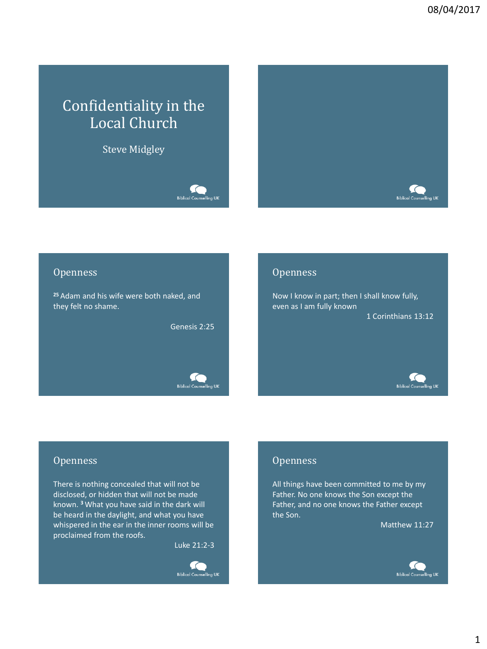# Confidentiality in the Local Church

Steve Midgley

Biblical Counselling UK



#### **Openness**

**<sup>25</sup>** Adam and his wife were both naked, and they felt no shame.

Genesis 2:25



#### **Openness**

Now I know in part; then I shall know fully, even as I am fully known 1 Corinthians 13:12



#### **Openness**

There is nothing concealed that will not be disclosed, or hidden that will not be made known. **<sup>3</sup>** What you have said in the dark will be heard in the daylight, and what you have whispered in the ear in the inner rooms will be proclaimed from the roofs.

Luke 21:2-3



#### **Openness**

All things have been committed to me by my Father. No one knows the Son except the Father, and no one knows the Father except the Son.

Matthew 11:27

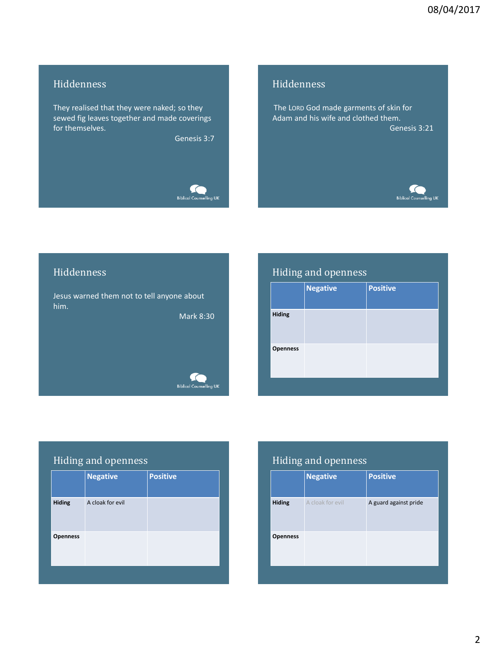## Hiddenness

They realised that they were naked; so they sewed fig leaves together and made coverings for themselves.

Genesis 3:7



#### Hiddenness

The LORD God made garments of skin for Adam and his wife and clothed them. Genesis 3:21



#### Hiddenness

Jesus warned them not to tell anyone about him.

Mark 8:30

#### fo Biblical Counselling UK

# Hiding and openness

|                 | <b>Negative</b> | <b>Positive</b> |
|-----------------|-----------------|-----------------|
| <b>Hiding</b>   |                 |                 |
| <b>Openness</b> |                 |                 |
|                 |                 |                 |

# Hiding and openness

|                 | <b>Negative</b>  | <b>Positive</b> |
|-----------------|------------------|-----------------|
| <b>Hiding</b>   | A cloak for evil |                 |
| <b>Openness</b> |                  |                 |
|                 |                  |                 |

# Hiding and openness

|                 | <b>Negative</b>  | <b>Positive</b>       |
|-----------------|------------------|-----------------------|
| <b>Hiding</b>   | A cloak for evil | A guard against pride |
| <b>Openness</b> |                  |                       |
|                 |                  |                       |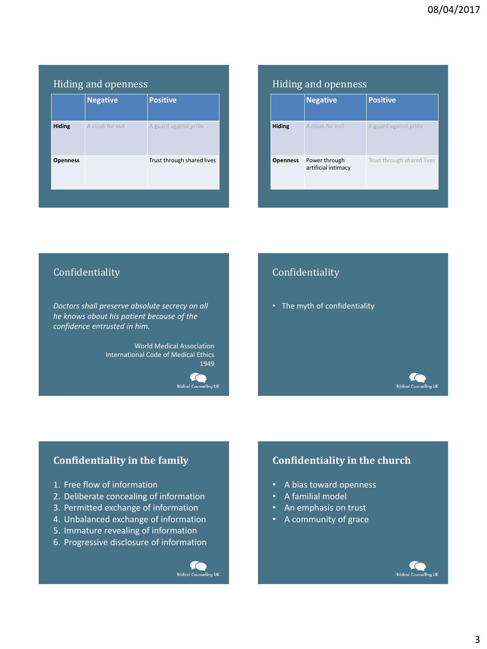|                 | <b>Negative</b>  | <b>Positive</b>            |
|-----------------|------------------|----------------------------|
| <b>Hiding</b>   | A cloak for evil | A guard against pride      |
| <b>Openness</b> |                  | Trust through shared lives |

|                 | <b>Negative</b>                      | <b>Positive</b>            |
|-----------------|--------------------------------------|----------------------------|
| <b>Hiding</b>   | A cloak for evil                     | A guard against pride      |
| <b>Openness</b> | Power through<br>artificial intimacy | Trust through shared lives |

## Confidentiality

*Doctors shall preserve absolute secrecy on all he knows about his patient because of the confidence entrusted in him.*

> World Medical Association International Code of Medical Ethics 1949

> > fo **Biblical Counselling UK**

# Confidentiality

• The myth of confidentiality

# **Confidentiality in the family**

- 1. Free flow of information
- 2. Deliberate concealing of information
- 3. Permitted exchange of information
- 4. Unbalanced exchange of information
- 5. Immature revealing of information
- 6. Progressive disclosure of information



# **Confidentiality in the church**

- A bias toward openness
- A familial model
- An emphasis on trust
- A community of grace

**Biblical Counselling UK**